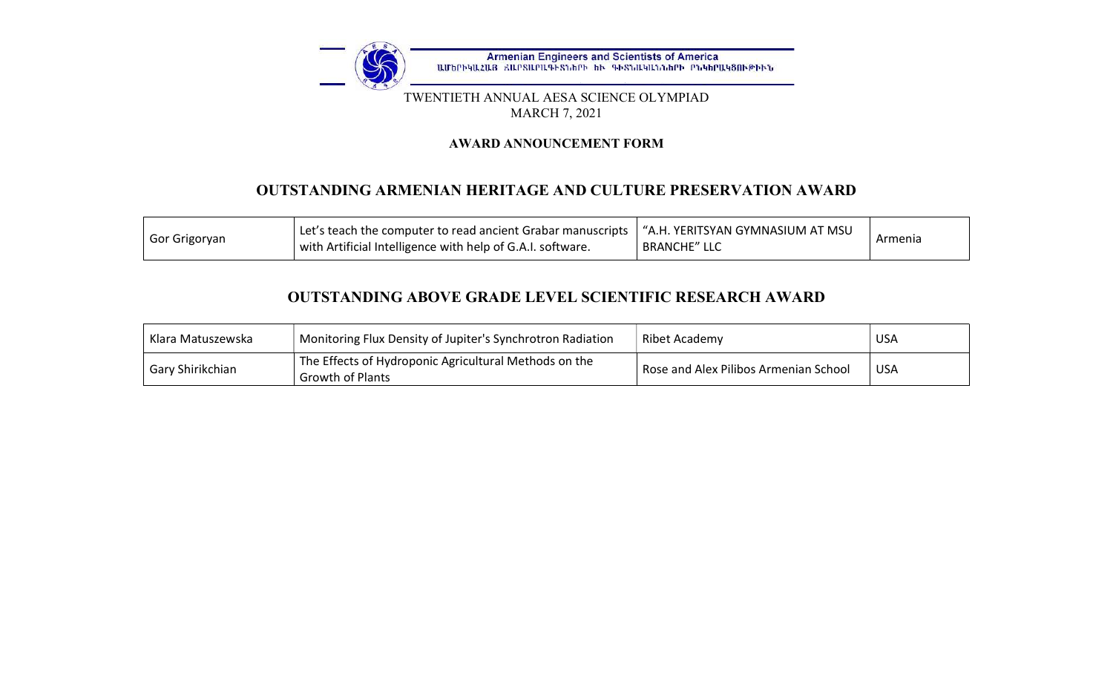

#### TWENTIETH ANNUAL AESA SCIENCE OLYMPIAD MARCH 7, 2021

### AWARD ANNOUNCEMENT FORM

# OUTSTANDING ARMENIAN HERITAGE AND CULTURE PRESERVATION AWARD

| Let's teach the computer to read ancient Grabar manuscripts $\mid$ "A.H. YERITSYAN GYMNASIUM AT MSU<br>Gor Grigoryan<br>with Artificial Intelligence with help of G.A.I. software.<br><b>BRANCHE" LLC</b> | Armenia |
|-----------------------------------------------------------------------------------------------------------------------------------------------------------------------------------------------------------|---------|
|-----------------------------------------------------------------------------------------------------------------------------------------------------------------------------------------------------------|---------|

# OUTSTANDING ABOVE GRADE LEVEL SCIENTIFIC RESEARCH AWARD

| Klara Matuszewska | Monitoring Flux Density of Jupiter's Synchrotron Radiation                       | Ribet Academy                         | <b>USA</b> |
|-------------------|----------------------------------------------------------------------------------|---------------------------------------|------------|
| Gary Shirikchian  | The Effects of Hydroponic Agricultural Methods on the<br><b>Growth of Plants</b> | Rose and Alex Pilibos Armenian School | <b>USA</b> |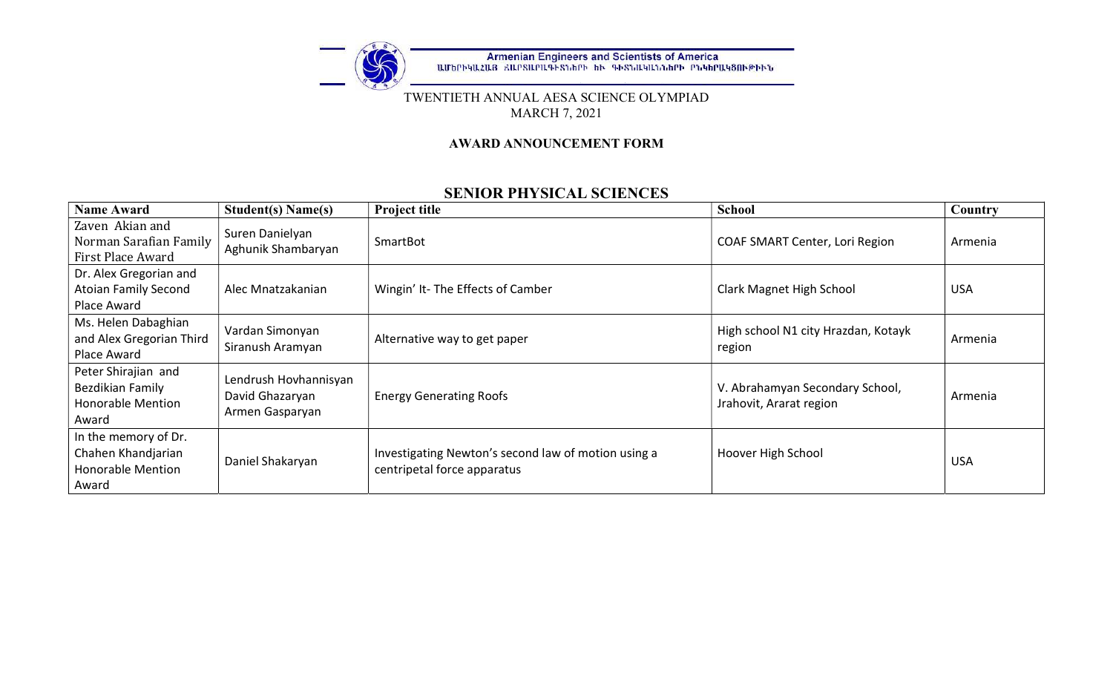

#### TWENTIETH ANNUAL AESA SCIENCE OLYMPIAD MARCH 7, 2021

### AWARD ANNOUNCEMENT FORM

## SENIOR PHYSICAL SCIENCES

| <b>Name Award</b>                                                               | <b>Student(s) Name(s)</b>                                   | <b>Project title</b>                                                               | <b>School</b>                                              | Country    |
|---------------------------------------------------------------------------------|-------------------------------------------------------------|------------------------------------------------------------------------------------|------------------------------------------------------------|------------|
| Zaven Akian and<br>Norman Sarafian Family<br>First Place Award                  | Suren Danielyan<br>Aghunik Shambaryan                       | SmartBot                                                                           | COAF SMART Center, Lori Region                             | Armenia    |
| Dr. Alex Gregorian and                                                          |                                                             |                                                                                    |                                                            |            |
| <b>Atoian Family Second</b>                                                     | Alec Mnatzakanian                                           | Wingin' It- The Effects of Camber                                                  | Clark Magnet High School                                   | <b>USA</b> |
| Place Award                                                                     |                                                             |                                                                                    |                                                            |            |
| Ms. Helen Dabaghian<br>and Alex Gregorian Third<br>Place Award                  | Vardan Simonyan<br>Siranush Aramyan                         | Alternative way to get paper                                                       | High school N1 city Hrazdan, Kotayk<br>region              | Armenia    |
| Peter Shirajian and<br>Bezdikian Family<br><b>Honorable Mention</b><br>Award    | Lendrush Hovhannisyan<br>David Ghazaryan<br>Armen Gasparyan | <b>Energy Generating Roofs</b>                                                     | V. Abrahamyan Secondary School,<br>Jrahovit, Ararat region | Armenia    |
| In the memory of Dr.<br>Chahen Khandjarian<br><b>Honorable Mention</b><br>Award | Daniel Shakaryan                                            | Investigating Newton's second law of motion using a<br>centripetal force apparatus | Hoover High School                                         | <b>USA</b> |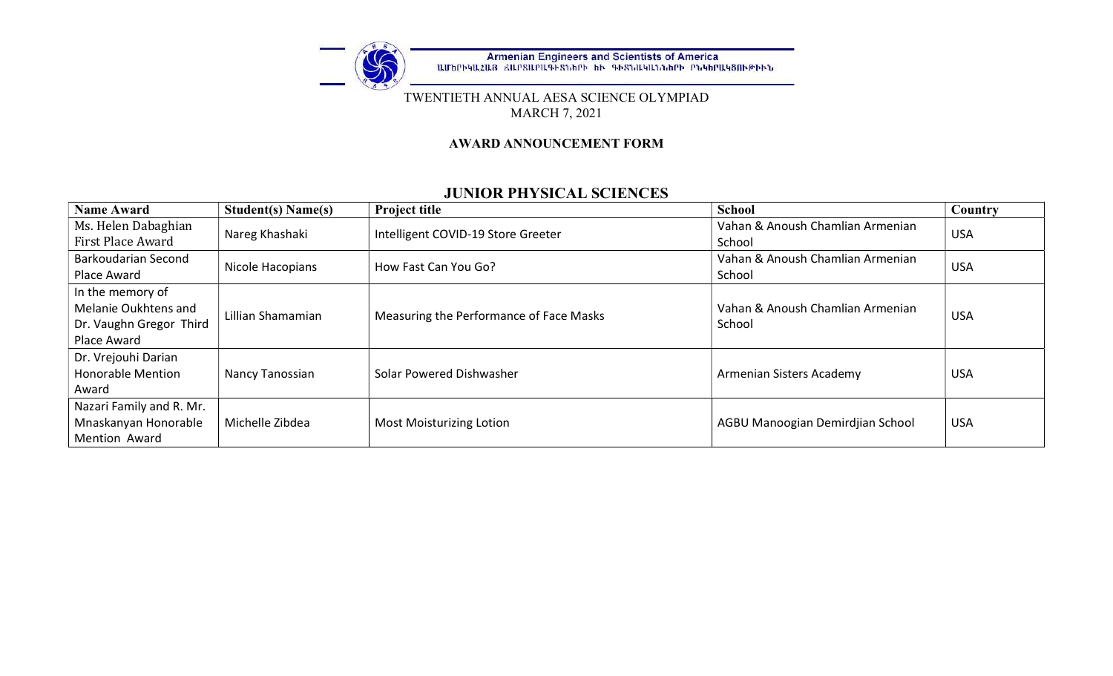

#### TWENTIETH ANNUAL AESA SCIENCE OLYMPIAD MARCH 7, 2021

### AWARD ANNOUNCEMENT FORM

## JUNIOR PHYSICAL SCIENCES

| <b>Name Award</b>                                                                  | <b>Student(s) Name(s)</b> | <b>Project title</b>                    | <b>School</b>                              | Country    |
|------------------------------------------------------------------------------------|---------------------------|-----------------------------------------|--------------------------------------------|------------|
| Ms. Helen Dabaghian<br>First Place Award                                           | Nareg Khashaki            | Intelligent COVID-19 Store Greeter      | Vahan & Anoush Chamlian Armenian<br>School | <b>USA</b> |
| Barkoudarian Second<br>Place Award                                                 | Nicole Hacopians          | How Fast Can You Go?                    | Vahan & Anoush Chamlian Armenian<br>School | <b>USA</b> |
| In the memory of<br>Melanie Oukhtens and<br>Dr. Vaughn Gregor Third<br>Place Award | Lillian Shamamian         | Measuring the Performance of Face Masks | Vahan & Anoush Chamlian Armenian<br>School | <b>USA</b> |
| Dr. Vrejouhi Darian<br><b>Honorable Mention</b><br>Award                           | Nancy Tanossian           | Solar Powered Dishwasher                | Armenian Sisters Academy                   | <b>USA</b> |
| Nazari Family and R. Mr.<br>Mnaskanyan Honorable<br><b>Mention Award</b>           | Michelle Zibdea           | <b>Most Moisturizing Lotion</b>         | AGBU Manoogian Demirdjian School           | <b>USA</b> |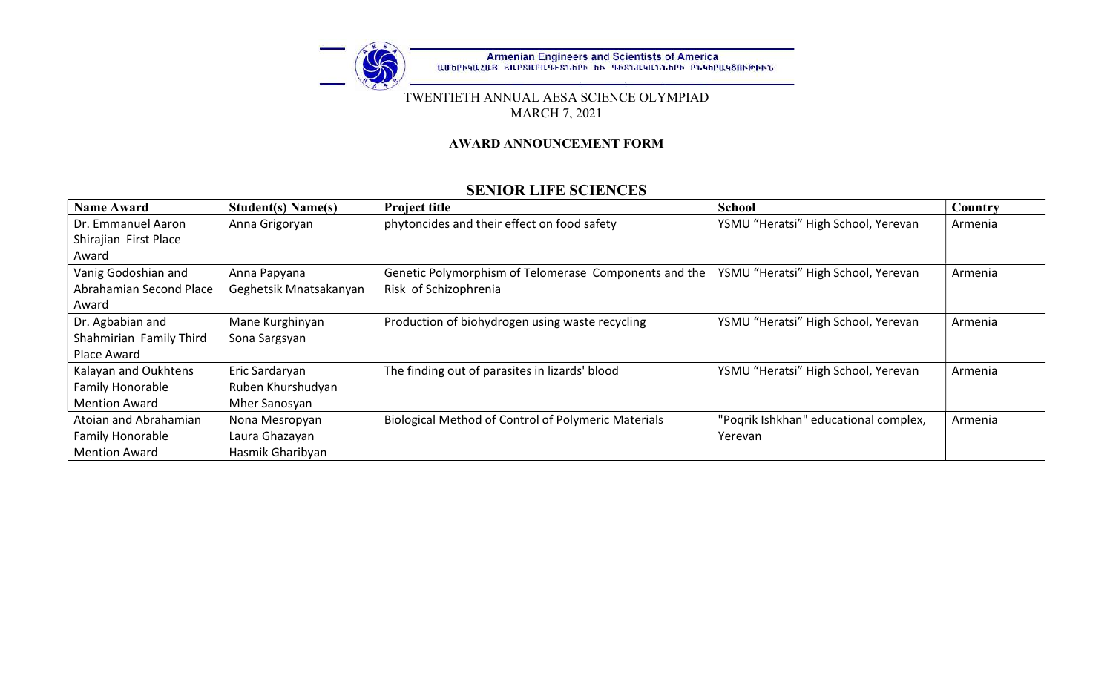

#### TWENTIETH ANNUAL AESA SCIENCE OLYMPIAD MARCH 7, 2021

### AWARD ANNOUNCEMENT FORM

## SENIOR LIFE SCIENCES

| <b>Name Award</b>       | <b>Student(s) Name(s)</b> | <b>Project title</b>                                       | <b>School</b>                         | Country |
|-------------------------|---------------------------|------------------------------------------------------------|---------------------------------------|---------|
| Dr. Emmanuel Aaron      | Anna Grigoryan            | phytoncides and their effect on food safety                | YSMU "Heratsi" High School, Yerevan   | Armenia |
| Shirajian First Place   |                           |                                                            |                                       |         |
| Award                   |                           |                                                            |                                       |         |
| Vanig Godoshian and     | Anna Papyana              | Genetic Polymorphism of Telomerase Components and the      | YSMU "Heratsi" High School, Yerevan   | Armenia |
| Abrahamian Second Place | Geghetsik Mnatsakanyan    | Risk of Schizophrenia                                      |                                       |         |
| Award                   |                           |                                                            |                                       |         |
| Dr. Agbabian and        | Mane Kurghinyan           | Production of biohydrogen using waste recycling            | YSMU "Heratsi" High School, Yerevan   | Armenia |
| Shahmirian Family Third | Sona Sargsyan             |                                                            |                                       |         |
| Place Award             |                           |                                                            |                                       |         |
| Kalayan and Oukhtens    | Eric Sardaryan            | The finding out of parasites in lizards' blood             | YSMU "Heratsi" High School, Yerevan   | Armenia |
| Family Honorable        | Ruben Khurshudyan         |                                                            |                                       |         |
| <b>Mention Award</b>    | Mher Sanosyan             |                                                            |                                       |         |
| Atoian and Abrahamian   | Nona Mesropyan            | <b>Biological Method of Control of Polymeric Materials</b> | "Pogrik Ishkhan" educational complex, | Armenia |
| Family Honorable        | Laura Ghazayan            |                                                            | Yerevan                               |         |
| <b>Mention Award</b>    | Hasmik Gharibyan          |                                                            |                                       |         |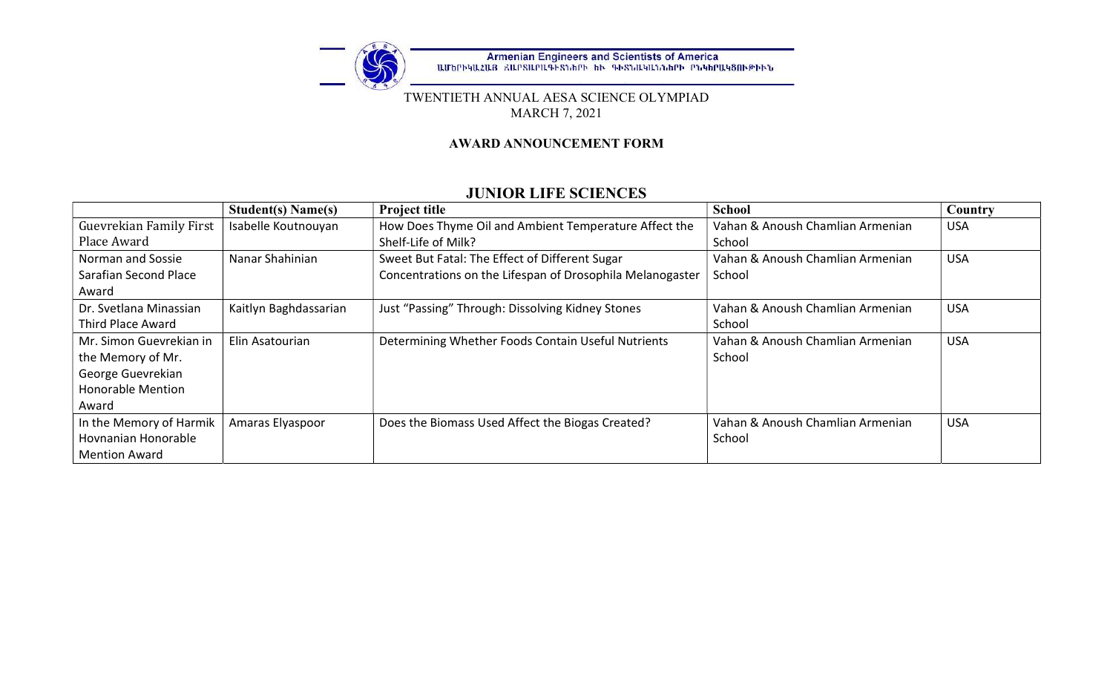

#### TWENTIETH ANNUAL AESA SCIENCE OLYMPIAD MARCH 7, 2021

### AWARD ANNOUNCEMENT FORM

## JUNIOR LIFE SCIENCES

|                          | <b>Student(s) Name(s)</b> | <b>Project title</b>                                      | <b>School</b>                    | Country    |
|--------------------------|---------------------------|-----------------------------------------------------------|----------------------------------|------------|
| Guevrekian Family First  | Isabelle Koutnouyan       | How Does Thyme Oil and Ambient Temperature Affect the     | Vahan & Anoush Chamlian Armenian | <b>USA</b> |
| Place Award              |                           | Shelf-Life of Milk?                                       | School                           |            |
| Norman and Sossie        | Nanar Shahinian           | Sweet But Fatal: The Effect of Different Sugar            | Vahan & Anoush Chamlian Armenian | <b>USA</b> |
| Sarafian Second Place    |                           | Concentrations on the Lifespan of Drosophila Melanogaster | School                           |            |
| Award                    |                           |                                                           |                                  |            |
| Dr. Svetlana Minassian   | Kaitlyn Baghdassarian     | Just "Passing" Through: Dissolving Kidney Stones          | Vahan & Anoush Chamlian Armenian | <b>USA</b> |
| Third Place Award        |                           |                                                           | School                           |            |
| Mr. Simon Guevrekian in  | Elin Asatourian           | Determining Whether Foods Contain Useful Nutrients        | Vahan & Anoush Chamlian Armenian | <b>USA</b> |
| the Memory of Mr.        |                           |                                                           | School                           |            |
| George Guevrekian        |                           |                                                           |                                  |            |
| <b>Honorable Mention</b> |                           |                                                           |                                  |            |
| Award                    |                           |                                                           |                                  |            |
| In the Memory of Harmik  | Amaras Elyaspoor          | Does the Biomass Used Affect the Biogas Created?          | Vahan & Anoush Chamlian Armenian | <b>USA</b> |
| Hovnanian Honorable      |                           |                                                           | School                           |            |
| <b>Mention Award</b>     |                           |                                                           |                                  |            |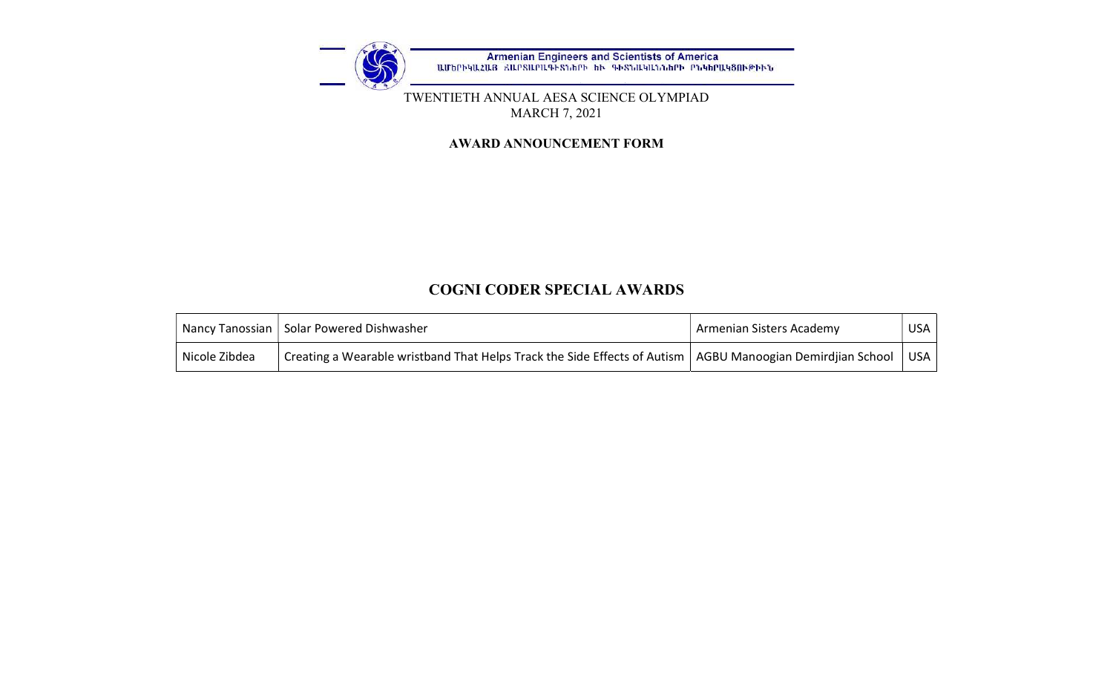

#### TWENTIETH ANNUAL AESA SCIENCE OLYMPIAD MARCH 7, 2021

#### AWARD ANNOUNCEMENT FORM

## COGNI CODER SPECIAL AWARDS

|               | Nancy Tanossian   Solar Powered Dishwasher                                                                   | Armenian Sisters Academy | USA I      |
|---------------|--------------------------------------------------------------------------------------------------------------|--------------------------|------------|
| Nicole Zibdea | Creating a Wearable wristband That Helps Track the Side Effects of Autism   AGBU Manoogian Demirdjian School |                          | <b>USA</b> |